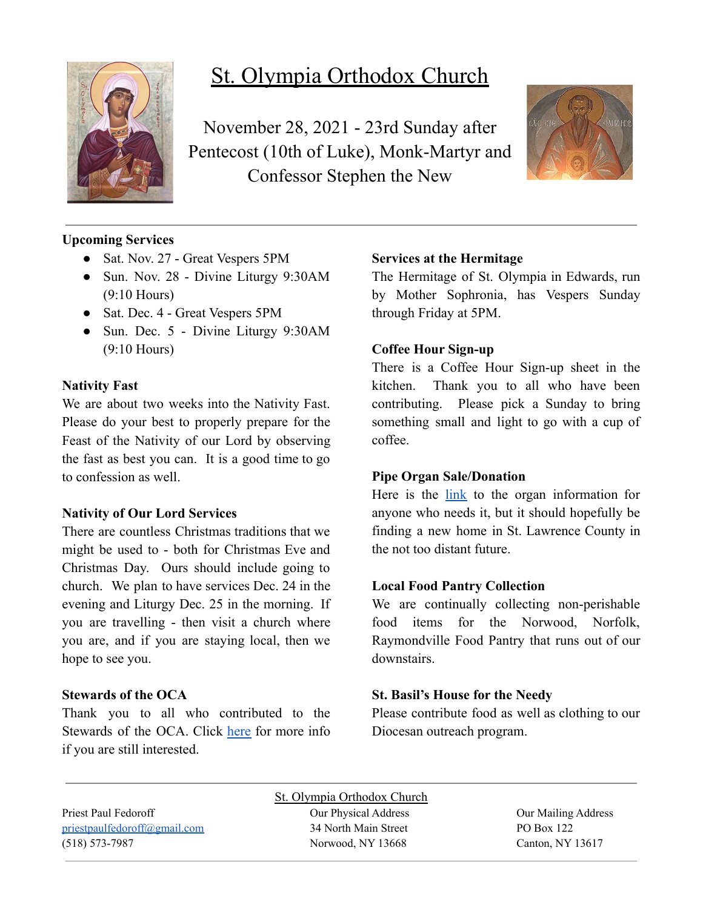

# St. Olympia Orthodox Church

November 28, 2021 - 23rd Sunday after Pentecost (10th of Luke), Monk-Martyr and Confessor Stephen the New



## **Upcoming Services**

- Sat. Nov. 27 Great Vespers 5PM
- Sun. Nov. 28 Divine Liturgy 9:30AM (9:10 Hours)
- Sat. Dec. 4 Great Vespers 5PM
- Sun. Dec. 5 Divine Liturgy 9:30AM (9:10 Hours)

#### **Nativity Fast**

We are about two weeks into the Nativity Fast. Please do your best to properly prepare for the Feast of the Nativity of our Lord by observing the fast as best you can. It is a good time to go to confession as well.

#### **Nativity of Our Lord Services**

There are countless Christmas traditions that we might be used to - both for Christmas Eve and Christmas Day. Ours should include going to church. We plan to have services Dec. 24 in the evening and Liturgy Dec. 25 in the morning. If you are travelling - then visit a church where you are, and if you are staying local, then we hope to see you.

#### **Stewards of the OCA**

Thank you to all who contributed to the Stewards of the OCA. Click [here](https://www.oca.org/become-a-steward) for more info if you are still interested.

#### **Services at the Hermitage**

The Hermitage of St. Olympia in Edwards, run by Mother Sophronia, has Vespers Sunday through Friday at 5PM.

#### **Coffee Hour Sign-up**

There is a Coffee Hour Sign-up sheet in the kitchen. Thank you to all who have been contributing. Please pick a Sunday to bring something small and light to go with a cup of coffee.

#### **Pipe Organ Sale/Donation**

Here is the [link](https://www.carlsonorgans.com/carlson-pipe-organ.html?fbclid=IwAR0AP0R6-ZPq_msuHfolTcWBIFhgxMi9NY6dlXykcgRBM4j3qId0FzVWnes) to the organ information for anyone who needs it, but it should hopefully be finding a new home in St. Lawrence County in the not too distant future.

#### **Local Food Pantry Collection**

We are continually collecting non-perishable food items for the Norwood, Norfolk, Raymondville Food Pantry that runs out of our downstairs.

#### **St. Basil's House for the Needy**

Please contribute food as well as clothing to our Diocesan outreach program.

Priest Paul Fedoroff Our Physical Address Our Mailing Address [priestpaulfedoroff@gmail.com](mailto:priestpaulfedoroff@gmail.com) 34 North Main Street PO Box 122 (518) 573-7987 Norwood, NY 13668 Canton, NY 13617

St. Olympia Orthodox Church